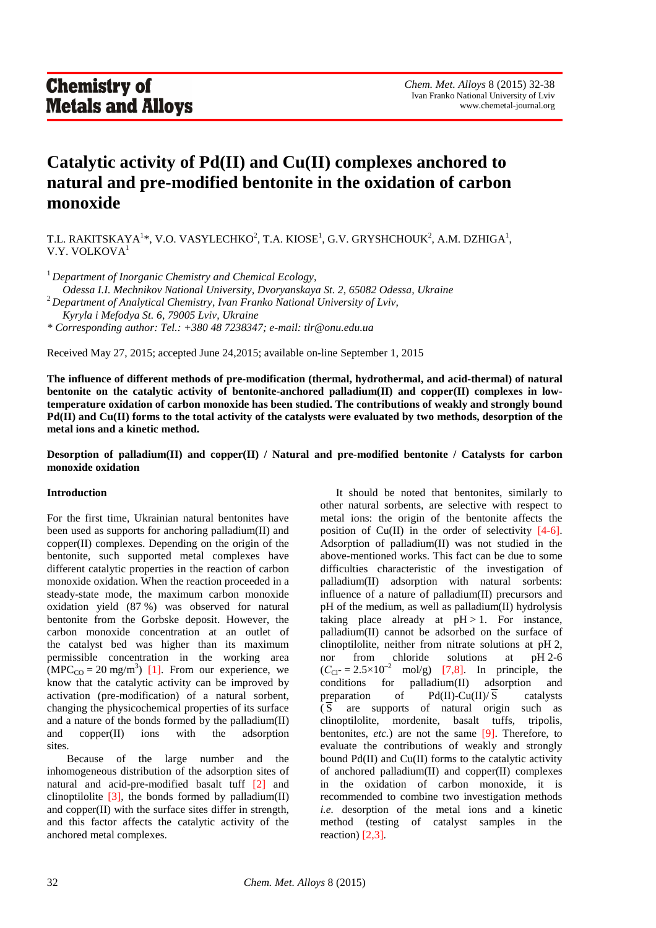# **Catalytic activity of Pd(II) and Cu(II) complexes anchored to natural and pre-modified bentonite in the oxidation of carbon monoxide**

T.L. RAKITSKAYA<sup>1</sup>\*, V.O. VASYLECHKO<sup>2</sup>, T.A. KIOSE<sup>1</sup>, G.V. GRYSHCHOUK<sup>2</sup>, A.M. DZHIGA<sup>1</sup>, V.Y. VOLKOVA<sup>1</sup>

<sup>1</sup>*Department of Inorganic Chemistry and Chemical Ecology,* 

 *Odessa I.I. Mechnikov National University, Dvoryanskaya St. 2, 65082 Odessa, Ukraine* 

<sup>2</sup>*Department of Analytical Chemistry, Ivan Franko National University of Lviv, Kyryla i Mefodya St. 6, 79005 Lviv, Ukraine* 

*\* Corresponding author: Tel.: +380 48 7238347; e-mail: tlr@onu.edu.ua* 

Received May 27, 2015; accepted June 24,2015; available on-line September 1, 2015

**The influence of different methods of pre-modification (thermal, hydrothermal, and acid-thermal) of natural**  bentonite on the catalytic activity of bentonite-anchored palladium(II) and copper(II) complexes in low**temperature oxidation of carbon monoxide has been studied. The contributions of weakly and strongly bound Pd(II) and Cu(II) forms to the total activity of the catalysts were evaluated by two methods, desorption of the metal ions and a kinetic method.** 

# **Desorption of palladium(II) and copper(II) / Natural and pre-modified bentonite / Catalysts for carbon monoxide oxidation**

## **Introduction**

For the first time, Ukrainian natural bentonites have been used as supports for anchoring palladium(II) and copper(II) complexes. Depending on the origin of the bentonite, such supported metal complexes have different catalytic properties in the reaction of carbon monoxide oxidation. When the reaction proceeded in a steady-state mode, the maximum carbon monoxide oxidation yield (87 %) was observed for natural bentonite from the Gorbske deposit. However, the carbon monoxide concentration at an outlet of the catalyst bed was higher than its maximum permissible concentration in the working area  $(MPC_{CO} = 20$  mg/m<sup>3</sup>) [1]. From our experience, we know that the catalytic activity can be improved by activation (pre-modification) of a natural sorbent, changing the physicochemical properties of its surface and a nature of the bonds formed by the palladium(II) and copper(II) ions with the adsorption sites.

 Because of the large number and the inhomogeneous distribution of the adsorption sites of natural and acid-pre-modified basalt tuff [2] and clinoptilolite  $[3]$ , the bonds formed by palladium(II) and copper(II) with the surface sites differ in strength, and this factor affects the catalytic activity of the anchored metal complexes.

It should be noted that bentonites, similarly to other natural sorbents, are selective with respect to metal ions: the origin of the bentonite affects the position of Cu(II) in the order of selectivity [4-6]. Adsorption of palladium(II) was not studied in the above-mentioned works. This fact can be due to some difficulties characteristic of the investigation of palladium(II) adsorption with natural sorbents: influence of a nature of palladium(II) precursors and pH of the medium, as well as palladium(II) hydrolysis taking place already at  $pH > 1$ . For instance, palladium(II) cannot be adsorbed on the surface of clinoptilolite, neither from nitrate solutions at pH 2, nor from chloride solutions at pH 2-6  $(C_{Cl^-} = 2.5 \times 10^{-2} \text{ mol/g})$  [7,8]. In principle, the conditions for palladium(II) adsorption and conditions for palladium(II) adsorption and preparation of  $Pd(II)-Cu(II)/\overline{S}$  catalysts  $\overline{S}$  are supports of natural origin such as clinoptilolite, mordenite, basalt tuffs, tripolis, bentonites, *etc.*) are not the same [9]. Therefore, to evaluate the contributions of weakly and strongly bound  $Pd(II)$  and  $Cu(II)$  forms to the catalytic activity of anchored palladium(II) and copper(II) complexes in the oxidation of carbon monoxide, it is recommended to combine two investigation methods *i.e.* desorption of the metal ions and a kinetic method (testing of catalyst samples in the reaction) [2,3].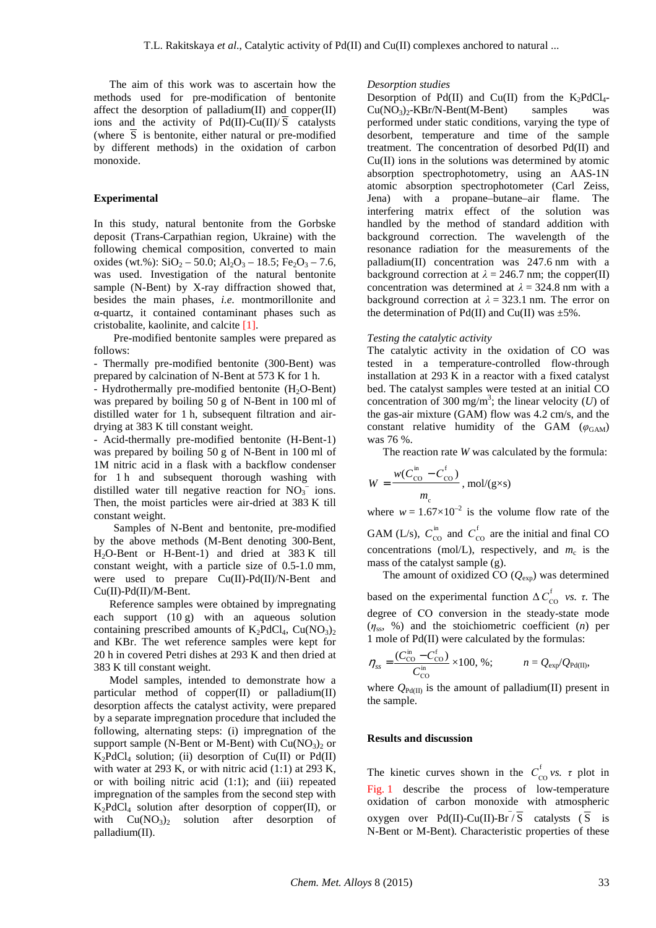The aim of this work was to ascertain how the methods used for pre-modification of bentonite affect the desorption of palladium $(II)$  and copper $(II)$ ions and the activity of  $Pd(II)-Cu(II)/S$  catalysts (where S is bentonite, either natural or pre-modified by different methods) in the oxidation of carbon monoxide.

#### **Experimental**

In this study, natural bentonite from the Gorbske deposit (Trans-Carpathian region, Ukraine) with the following chemical composition, converted to main oxides (wt.%):  $SiO_2 - 50.0$ ;  $Al_2O_3 - 18.5$ ; Fe<sub>2</sub>O<sub>3</sub> – 7.6, was used. Investigation of the natural bentonite sample (N-Bent) by X-ray diffraction showed that, besides the main phases, *i.e.* montmorillonite and α-quartz, it contained contaminant phases such as cristobalite, kaolinite, and calcite [1].

 Pre-modified bentonite samples were prepared as follows:

- Thermally pre-modified bentonite (300-Bent) was prepared by calcination of N-Bent at 573 K for 1 h.

- Hydrothermally pre-modified bentonite  $(H_2O-Bent)$ was prepared by boiling 50 g of N-Bent in 100 ml of distilled water for 1 h, subsequent filtration and airdrying at 383 K till constant weight.

- Acid-thermally pre-modified bentonite (H-Bent-1) was prepared by boiling 50 g of N-Bent in 100 ml of 1M nitric acid in a flask with a backflow condenser for 1 h and subsequent thorough washing with distilled water till negative reaction for  $NO<sub>3</sub><sup>-</sup>$  ions. Then, the moist particles were air-dried at 383 K till constant weight.

 Samples of N-Bent and bentonite, pre-modified by the above methods (M-Bent denoting 300-Bent, H2O-Bent or H-Bent-1) and dried at 383 K till constant weight, with a particle size of 0.5-1.0 mm, were used to prepare Cu(II)-Pd(II)/N-Bent and Cu(II)-Pd(II)/M-Bent.

 Reference samples were obtained by impregnating each support (10 g) with an aqueous solution containing prescribed amounts of  $K_2PdCl_4$ ,  $Cu(NO_3)$ and KBr. The wet reference samples were kept for 20 h in covered Petri dishes at 293 K and then dried at 383 K till constant weight.

 Model samples, intended to demonstrate how a particular method of copper(II) or palladium(II) desorption affects the catalyst activity, were prepared by a separate impregnation procedure that included the following, alternating steps: (i) impregnation of the support sample (N-Bent or M-Bent) with  $Cu(NO<sub>3</sub>)<sub>2</sub>$  or  $K_2PdCl_4$  solution; (ii) desorption of Cu(II) or Pd(II) with water at 293 K, or with nitric acid  $(1:1)$  at 293 K, or with boiling nitric acid (1:1); and (iii) repeated impregnation of the samples from the second step with  $K_2PdCl_4$  solution after desorption of copper(II), or with  $Cu(NO_3)$  solution after desorption of palladium(II).

### *Desorption studies*

Desorption of Pd(II) and Cu(II) from the  $K_2PdCl_4$ - $Cu(NO<sub>3</sub>)<sub>2</sub>-KBr/N-Bent(M-Bent)$  samples was performed under static conditions, varying the type of desorbent, temperature and time of the sample treatment. The concentration of desorbed Pd(II) and Cu(II) ions in the solutions was determined by atomic absorption spectrophotometry, using an AAS-1N atomic absorption spectrophotometer (Carl Zeiss, Jena) with a propane–butane–air flame. The interfering matrix effect of the solution was handled by the method of standard addition with background correction. The wavelength of the resonance radiation for the measurements of the palladium(II) concentration was 247.6 nm with a background correction at  $\lambda = 246.7$  nm; the copper(II) concentration was determined at  $\lambda = 324.8$  nm with a background correction at  $\lambda = 323.1$  nm. The error on the determination of  $Pd(II)$  and  $Cu(II)$  was  $\pm 5\%$ .

#### *Testing the catalytic activity*

The catalytic activity in the oxidation of CO was tested in a temperature-controlled flow-through installation at 293 K in a reactor with a fixed catalyst bed. The catalyst samples were tested at an initial CO concentration of 300 mg/m<sup>3</sup>; the linear velocity (*U*) of the gas-air mixture (GAM) flow was 4.2 cm/s, and the constant relative humidity of the GAM  $(\varphi_{\text{GAM}})$ was 76 %.

The reaction rate *W* was calculated by the formula:

$$
W = \frac{w(C_{\text{CO}}^{\text{in}} - C_{\text{CO}}^{\text{f}})}{m_{\text{c}}}, \text{mol/(g} \times \text{s})
$$

where  $w = 1.67 \times 10^{-2}$  is the volume flow rate of the GAM (L/s),  $C_{\text{CO}}^{\text{in}}$  and  $C_{\text{CO}}^{\text{f}}$  are the initial and final CO concentrations (mol/L), respectively, and  $m_c$  is the mass of the catalyst sample (g).

The amount of oxidized CO  $(Q_{\text{exp}})$  was determined based on the experimental function  $\Delta C_{\text{CO}}^{\text{f}}$  *vs. τ*. The degree of СО conversion in the steady-state mode (*η*ss, %) and the stoichiometric coefficient (*n*) per 1 mole of Pd(II) were calculated by the formulas:

$$
\eta_{ss} = \frac{(C_{\text{CO}}^{\text{in}} - C_{\text{CO}}^{\text{f}})}{C_{\text{CO}}^{\text{in}}} \times 100, \, \%\, ; \qquad n = Q_{\text{exp}}/Q_{\text{Pd(II)}},
$$

where  $Q_{Pd(II)}$  is the amount of palladium(II) present in the sample.

#### **Results and discussion**

The kinetic curves shown in the  $C_{\text{CO}}^{\text{f}}$  *vs. τ* plot in Fig. 1 describe the process of low-temperature oxidation of carbon monoxide with atmospheric oxygen over  $Pd(II)$ -Cu(II)-Br  $\bar{\sqrt{S}}$  catalysts  $(\bar{S}$  is N-Bent or M-Bent). Characteristic properties of these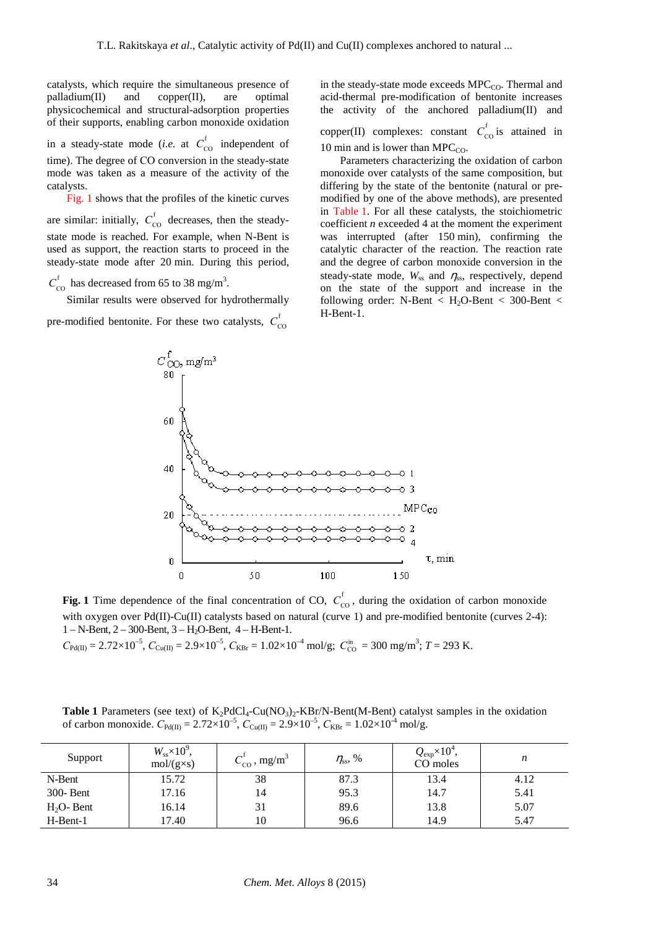catalysts, which require the simultaneous presence of palladium(II) and copper(II), are optimal physicochemical and structural-adsorption properties of their supports, enabling carbon monoxide oxidation

in a steady-state mode (*i.e.* at  $C_{\text{CO}}^{\text{f}}$  independent of time). The degree of СО conversion in the steady-state mode was taken as a measure of the activity of the catalysts.

 Fig. 1 shows that the profiles of the kinetic curves are similar: initially,  $C_{\text{co}}^{\text{f}}$  decreases, then the steadystate mode is reached. For example, when N-Bent is used as support, the reaction starts to proceed in the steady-state mode after 20 min. During this period,

 $C_{\text{CO}}^{\text{f}}$  has decreased from 65 to 38 mg/m<sup>3</sup>.

 Similar results were observed for hydrothermally pre-modified bentonite. For these two catalysts,  $C_{\text{co}}^{\text{f}}$ 

in the steady-state mode exceeds  $\text{MPC}_\text{CO}$ . Thermal and acid-thermal pre-modification of bentonite increases the activity of the anchored palladium(II) and

copper(II) complexes: constant  $C_{\text{co}}^{\text{f}}$  is attained in 10 min and is lower than MPC $_{CO}$ .

 Parameters characterizing the oxidation of carbon monoxide over catalysts of the same composition, but differing by the state of the bentonite (natural or premodified by one of the above methods), are presented in Table 1. For all these catalysts, the stoichiometric coefficient *n* exceeded 4 at the moment the experiment was interrupted (after 150 min), confirming the catalytic character of the reaction. The reaction rate and the degree of carbon monoxide conversion in the steady-state mode,  $W_{ss}$  and  $\eta_{ss}$ , respectively, depend on the state of the support and increase in the following order: N-Bent  $\langle$  H<sub>2</sub>O-Bent  $\langle$  300-Bent  $\langle$ H-Bent-1.



**Fig. 1** Time dependence of the final concentration of CO,  $C_{\text{co}}^{\text{f}}$ , during the oxidation of carbon monoxide with oxygen over  $Pd(\Pi)$ -Cu(II) catalysts based on natural (curve 1) and pre-modified bentonite (curves 2-4): 1 – N-Bent, 2 – 300-Bent, 3 – H2O-Bent, 4 – H-Bent-1.

 $C_{\text{Pd(II)}} = 2.72 \times 10^{-5}$ ,  $C_{\text{Cu(II)}} = 2.9 \times 10^{-5}$ ,  $C_{\text{KBr}} = 1.02 \times 10^{-4}$  mol/g;  $C_{\text{CO}}^{\text{in}} = 300$  mg/m<sup>3</sup>;  $T = 293$  K.

**Table 1** Parameters (see text) of  $K_2PdCl_4-Cu(NO_3)_2-KBr/N-Bent(MA-Bent)$  catalyst samples in the oxidation of carbon monoxide.  $C_{Pd(II)} = 2.72 \times 10^{-5}$ ,  $C_{Cu(II)} = 2.9 \times 10^{-5}$ ,  $C_{KBr} = 1.02 \times 10^{-4}$  mol/g.

| Support     | $W_{ss} \times 10^9$ ,<br>$mol/(g \times s)$ | $C_{\text{CO}}^{\prime}$ , mg/m <sup>3</sup> | $\eta_{ss}$ , % | $Q_{\rm exp} \times 10^4$ ,<br>CO moles | n    |
|-------------|----------------------------------------------|----------------------------------------------|-----------------|-----------------------------------------|------|
| N-Bent      | 15.72                                        | 38                                           | 87.3            | 13.4                                    | 4.12 |
| 300- Bent   | 17.16                                        | 14                                           | 95.3            | 14.7                                    | 5.41 |
| $H2O-$ Bent | 16.14                                        | 31                                           | 89.6            | 13.8                                    | 5.07 |
| H-Bent-1    | 17.40                                        | 10                                           | 96.6            | 14.9                                    | 5.47 |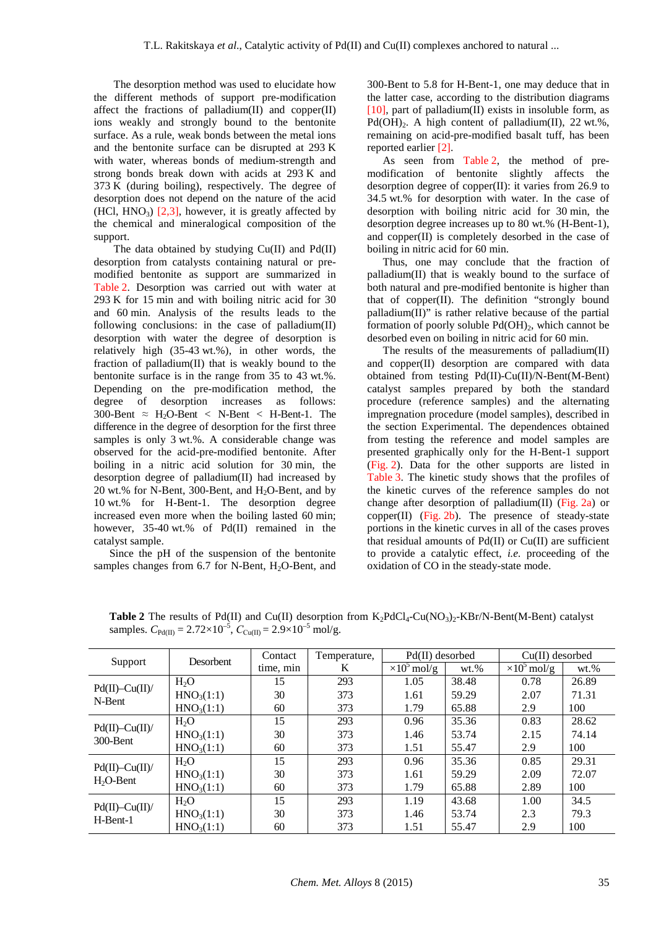The desorption method was used to elucidate how the different methods of support pre-modification affect the fractions of palladium $(II)$  and copper $(II)$ ions weakly and strongly bound to the bentonite surface. As a rule, weak bonds between the metal ions and the bentonite surface can be disrupted at 293 K with water, whereas bonds of medium-strength and strong bonds break down with acids at 293 K and  $373 K$  (during boiling), respectively. The degree of desorption does not depend on the nature of the acid  $(HCl, HNO<sub>3</sub>)$  [2,3], however, it is greatly affected by the chemical and mineralogical composition of the support.

 The data obtained by studying Cu(II) and Pd(II) desorption from catalysts containing natural or premodified bentonite as support are summarized in Table 2. Desorption was carried out with water at 293 K for 15 min and with boiling nitric acid for 30 and 60 min. Analysis of the results leads to the following conclusions: in the case of palladium(II) desorption with water the degree of desorption is relatively high (35-43 wt.%), in other words, the fraction of palladium(II) that is weakly bound to the bentonite surface is in the range from 35 to 43 wt.%. Depending on the pre-modification method, the degree of desorption increases as follows: 300-Bent  $\approx$  H<sub>2</sub>O-Bent  $\lt$  N-Bent  $\lt$  H-Bent-1. The difference in the degree of desorption for the first three samples is only 3 wt.%. A considerable change was observed for the acid-pre-modified bentonite. After boiling in a nitric acid solution for 30 min, the desorption degree of palladium(II) had increased by 20 wt.% for N-Bent, 300-Bent, and  $H_2O$ -Bent, and by 10 wt.% for H-Bent-1. The desorption degree increased even more when the boiling lasted 60 min; however, 35-40 wt.% of Pd(II) remained in the catalyst sample.

 Since the pH of the suspension of the bentonite samples changes from  $6.7$  for N-Bent,  $H_2O$ -Bent, and 300-Bent to 5.8 for H-Bent-1, one may deduce that in the latter case, according to the distribution diagrams [10], part of palladium(II) exists in insoluble form, as Pd(OH)<sub>2</sub>. A high content of palladium(II), 22 wt.%, remaining on acid-pre-modified basalt tuff, has been reported earlier [2].

 As seen from Table 2, the method of premodification of bentonite slightly affects the desorption degree of copper $(II)$ : it varies from 26.9 to 34.5 wt.% for desorption with water. In the case of desorption with boiling nitric acid for 30 min, the desorption degree increases up to 80 wt.% (H-Bent-1), and copper(II) is completely desorbed in the case of boiling in nitric acid for 60 min.

 Thus, one may conclude that the fraction of palladium(II) that is weakly bound to the surface of both natural and pre-modified bentonite is higher than that of copper(II). The definition "strongly bound palladium(II)" is rather relative because of the partial formation of poorly soluble  $Pd(OH)_{2}$ , which cannot be desorbed even on boiling in nitric acid for 60 min.

The results of the measurements of palladium(II) and copper(II) desorption are compared with data obtained from testing Pd(II)-Cu(II)/N-Bent(M-Bent) catalyst samples prepared by both the standard procedure (reference samples) and the alternating impregnation procedure (model samples), described in the section Experimental. The dependences obtained from testing the reference and model samples are presented graphically only for the H-Bent-1 support (Fig. 2). Data for the other supports are listed in Table 3. The kinetic study shows that the profiles of the kinetic curves of the reference samples do not change after desorption of palladium(II) ( $Fig. 2a$ ) or  $copper(II)$  (Fig. 2b). The presence of steady-state portions in the kinetic curves in all of the cases proves that residual amounts of  $Pd(II)$  or  $Cu(II)$  are sufficient to provide a catalytic effect, *i.e.* proceeding of the oxidation of CO in the steady-state mode.

| Support                         | <b>Desorbent</b>       | Contact   | Pd(II) desorbed<br>Temperature, |                     | $Cu(II)$ desorbed |                     |          |
|---------------------------------|------------------------|-----------|---------------------------------|---------------------|-------------------|---------------------|----------|
|                                 |                        | time, min | K                               | $\times 10^5$ mol/g | $wt. \%$          | $\times 10^5$ mol/g | $wt. \%$ |
| $Pd(II)$ -Cu(II)/<br>N-Bent     | H <sub>2</sub> O       | 15        | 293                             | 1.05                | 38.48             | 0.78                | 26.89    |
|                                 | HNO <sub>3</sub> (1:1) | 30        | 373                             | 1.61                | 59.29             | 2.07                | 71.31    |
|                                 | HNO <sub>3</sub> (1:1) | 60        | 373                             | 1.79                | 65.88             | 2.9                 | 100      |
| $Pd(II)$ -Cu(II)/<br>300-Bent   | H <sub>2</sub> O       | 15        | 293                             | 0.96                | 35.36             | 0.83                | 28.62    |
|                                 | HNO <sub>3</sub> (1:1) | 30        | 373                             | 1.46                | 53.74             | 2.15                | 74.14    |
|                                 | HNO <sub>3</sub> (1:1) | 60        | 373                             | 1.51                | 55.47             | 2.9                 | 100      |
| $Pd(II)$ -Cu(II)/<br>$H2O-Bent$ | H <sub>2</sub> O       | 15        | 293                             | 0.96                | 35.36             | 0.85                | 29.31    |
|                                 | HNO <sub>3</sub> (1:1) | 30        | 373                             | 1.61                | 59.29             | 2.09                | 72.07    |
|                                 | HNO <sub>3</sub> (1:1) | 60        | 373                             | 1.79                | 65.88             | 2.89                | 100      |
| $Pd(II)$ -Cu(II)/<br>H-Bent-1   | H <sub>2</sub> O       | 15        | 293                             | 1.19                | 43.68             | 1.00                | 34.5     |
|                                 | HNO <sub>3</sub> (1:1) | 30        | 373                             | 1.46                | 53.74             | 2.3                 | 79.3     |
|                                 | HNO <sub>3</sub> (1:1) | 60        | 373                             | 1.51                | 55.47             | 2.9                 | 100      |

**Table 2** The results of Pd(II) and Cu(II) desorption from  $K_2PdCl_4$ -Cu(NO<sub>3</sub>)<sub>2</sub>-KBr/N-Bent(M-Bent) catalyst samples.  $C_{\text{Pd(II)}} = 2.72 \times 10^{-5}$ ,  $C_{\text{Cu(II)}} = 2.9 \times 10^{-5}$  mol/g.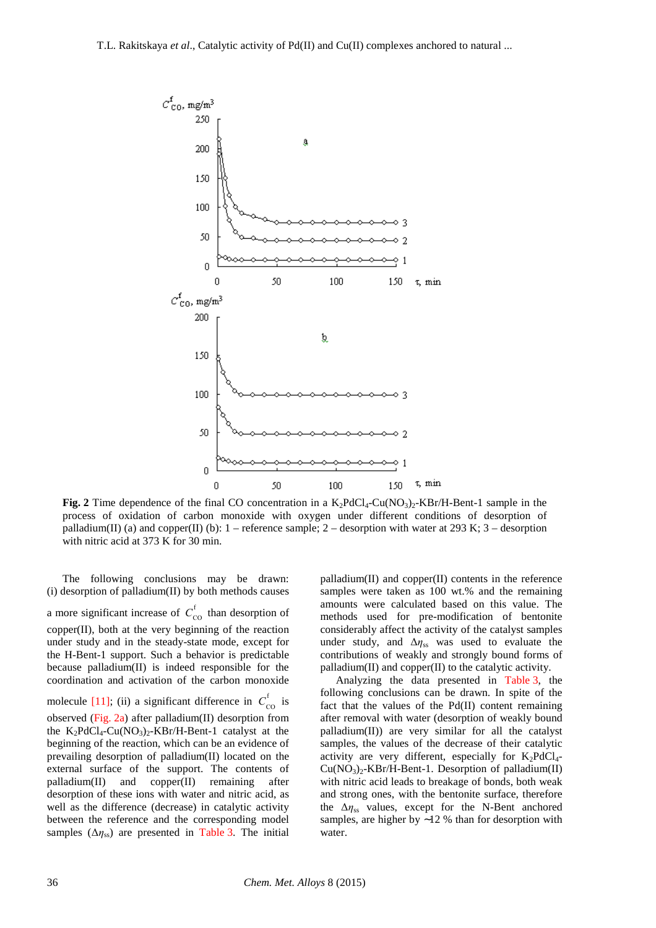

**Fig.** 2 Time dependence of the final CO concentration in a  $K_2PdCl_4$ -Cu(NO<sub>3</sub>)<sub>2</sub>-KBr/H-Bent-1 sample in the process of oxidation of carbon monoxide with oxygen under different conditions of desorption of palladium(II) (a) and copper(II) (b):  $1$  – reference sample;  $2$  – desorption with water at 293 K;  $3$  – desorption with nitric acid at 373 K for 30 min.

 The following conclusions may be drawn: (i) desorption of palladium(II) by both methods causes a more significant increase of  $C_{\text{co}}^{\text{f}}$  than desorption of copper(II), both at the very beginning of the reaction under study and in the steady-state mode, except for the H-Bent-1 support. Such a behavior is predictable because palladium(II) is indeed responsible for the coordination and activation of the carbon monoxide molecule [11]; (ii) a significant difference in  $C_{\text{co}}^{\text{f}}$  is observed (Fig. 2a) after palladium(II) desorption from the  $K_2PdCl_4$ -Cu(NO<sub>3</sub>)<sub>2</sub>-KBr/H-Bent-1 catalyst at the beginning of the reaction, which can be an evidence of prevailing desorption of palladium(II) located on the external surface of the support. The contents of palladium(II) and copper(II) remaining after desorption of these ions with water and nitric acid, as well as the difference (decrease) in catalytic activity between the reference and the corresponding model samples  $(\Delta \eta_{ss})$  are presented in Table 3. The initial

palladium(II) and copper(II) contents in the reference samples were taken as 100 wt.% and the remaining amounts were calculated based on this value. The methods used for pre-modification of bentonite considerably affect the activity of the catalyst samples under study, and ∆*η*ss was used to evaluate the contributions of weakly and strongly bound forms of palladium(II) and copper(II) to the catalytic activity.

 Analyzing the data presented in Table 3, the following conclusions can be drawn. In spite of the fact that the values of the Pd(II) content remaining after removal with water (desorption of weakly bound palladium(II)) are very similar for all the catalyst samples, the values of the decrease of their catalytic activity are very different, especially for  $K_2PdCl_4$ - $Cu(NO<sub>3</sub>)<sub>2</sub>$ -KBr/H-Bent-1. Desorption of palladium(II) with nitric acid leads to breakage of bonds, both weak and strong ones, with the bentonite surface, therefore the  $\Delta \eta_{ss}$  values, except for the N-Bent anchored samples, are higher by ∼12 % than for desorption with water.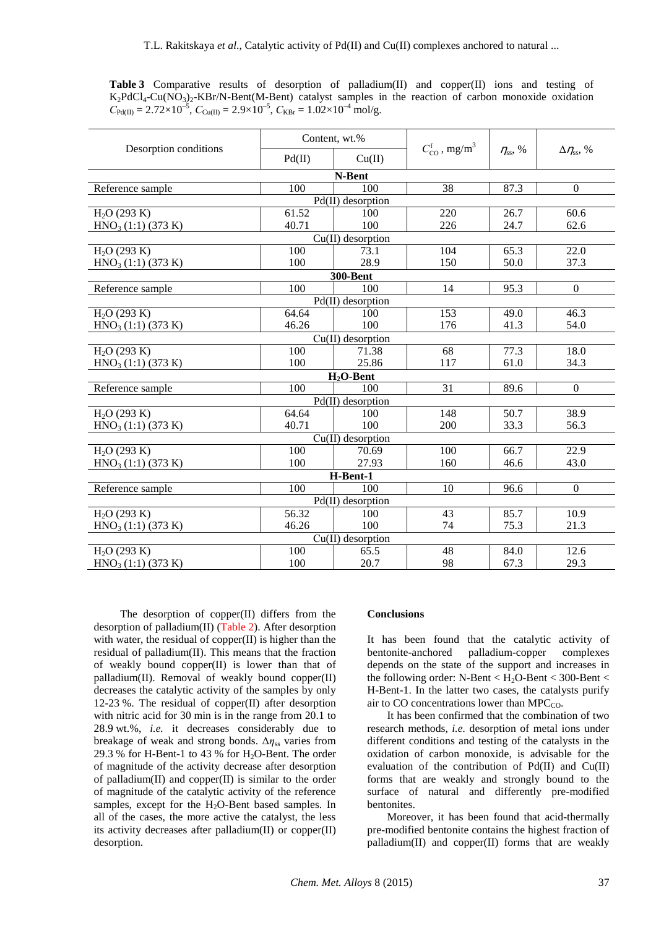**Table 3** Comparative results of desorption of palladium(II) and copper(II) ions and testing of  $K_2PdCl_4-Cu(NO_3)_2-KBr/N-Bent(M-Bent)$  catalyst samples in the reaction of carbon monoxide oxidation  $C_{Pd(II)} = 2.72 \times 10^{-5}$ ,  $C_{Cu(II)} = 2.9 \times 10^{-5}$ ,  $C_{KBr} = 1.02 \times 10^{-4}$  mol/g.

|                                | Content, wt.% |                     |                                                |                 |                           |  |  |  |
|--------------------------------|---------------|---------------------|------------------------------------------------|-----------------|---------------------------|--|--|--|
| Desorption conditions          | Pd(II)        | Cu(II)              | $C_{\text{CO}}^{\text{f}}$ , mg/m <sup>3</sup> | $\eta_{ss}$ , % | $\Delta\eta_{\rm ss}$ , % |  |  |  |
| N-Bent                         |               |                     |                                                |                 |                           |  |  |  |
| Reference sample               | 100           | 100                 | 38                                             | 87.3            | $\overline{0}$            |  |  |  |
| $Pd(II)$ desorption            |               |                     |                                                |                 |                           |  |  |  |
| $H_2O(293 K)$                  | 61.52         | 100                 | 220                                            | 26.7            | 60.6                      |  |  |  |
| HNO <sub>3</sub> (1:1) (373 K) | 40.71         | 100                 | 226                                            | 24.7            | 62.6                      |  |  |  |
| Cu(II) desorption              |               |                     |                                                |                 |                           |  |  |  |
| $H2O$ (293 K)                  | 100           | 73.1                | 104                                            | 65.3            | $\overline{22.0}$         |  |  |  |
| HNO <sub>3</sub> (1:1) (373 K) | 100           | 28.9                | 150                                            | 50.0            | 37.3                      |  |  |  |
| <b>300-Bent</b>                |               |                     |                                                |                 |                           |  |  |  |
| Reference sample               | 100           | 100                 | 14                                             | 95.3            | $\boldsymbol{0}$          |  |  |  |
| $Pd(II)$ desorption            |               |                     |                                                |                 |                           |  |  |  |
| $H2O$ (293 K)                  | 64.64         | 100                 | 153                                            | 49.0            | 46.3                      |  |  |  |
| HNO <sub>3</sub> (1:1) (373 K) | 46.26         | 100                 | 176                                            | 41.3            | 54.0                      |  |  |  |
| $Cu(II)$ desorption            |               |                     |                                                |                 |                           |  |  |  |
| $H2O$ (293 K)                  | 100           | 71.38               | $\overline{68}$                                | 77.3            | 18.0                      |  |  |  |
| HNO <sub>3</sub> (1:1) (373 K) | 100           | 25.86               | 117                                            | 61.0            | 34.3                      |  |  |  |
|                                |               | $H2O-Bent$          |                                                |                 |                           |  |  |  |
| Reference sample               | 100           | 100                 | 31                                             | 89.6            | $\boldsymbol{0}$          |  |  |  |
|                                |               | $Pd(II)$ desorption |                                                |                 |                           |  |  |  |
| $H2O$ (293 K)                  | 64.64         | 100                 | 148                                            | 50.7            | 38.9                      |  |  |  |
| HNO <sub>3</sub> (1:1) (373 K) | 40.71         | 100                 | 200                                            | 33.3            | 56.3                      |  |  |  |
| $Cu(II)$ desorption            |               |                     |                                                |                 |                           |  |  |  |
| $H2O$ (293 K)                  | 100           | 70.69               | 100                                            | 66.7            | 22.9                      |  |  |  |
| HNO <sub>3</sub> (1:1) (373 K) | 100           | 27.93               | 160                                            | 46.6            | 43.0                      |  |  |  |
| H-Bent-1                       |               |                     |                                                |                 |                           |  |  |  |
| Reference sample               | 100           | 100                 | 10                                             | 96.6            | $\mathbf{0}$              |  |  |  |
| Pd(II) desorption              |               |                     |                                                |                 |                           |  |  |  |
| $H_2O(293 K)$                  | 56.32         | 100                 | 43                                             | 85.7            | 10.9                      |  |  |  |
| HNO <sub>3</sub> (1:1) (373 K) | 46.26         | 100                 | 74                                             | 75.3            | 21.3                      |  |  |  |
| $Cu(II)$ desorption            |               |                     |                                                |                 |                           |  |  |  |
| $H_2O(293 K)$                  | 100           | 65.5                | 48                                             | 84.0            | 12.6                      |  |  |  |
| HNO <sub>3</sub> (1:1) (373 K) | 100           | 20.7                | 98                                             | 67.3            | 29.3                      |  |  |  |

 The desorption of copper(II) differs from the desorption of palladium(II) (Table 2). After desorption with water, the residual of copper(II) is higher than the residual of palladium(II). This means that the fraction of weakly bound copper(II) is lower than that of palladium(II). Removal of weakly bound copper(II) decreases the catalytic activity of the samples by only 12-23 %. The residual of copper(II) after desorption with nitric acid for 30 min is in the range from 20.1 to 28.9 wt.%, *i.e.* it decreases considerably due to breakage of weak and strong bonds. ∆*η*ss varies from 29.3 % for H-Bent-1 to 43 % for  $H_2O$ -Bent. The order of magnitude of the activity decrease after desorption of palladium $(II)$  and copper $(II)$  is similar to the order of magnitude of the catalytic activity of the reference samples, except for the  $H_2O$ -Bent based samples. In all of the cases, the more active the catalyst, the less its activity decreases after palladium(II) or copper(II) desorption.

#### **Conclusions**

It has been found that the catalytic activity of bentonite-anchored palladium-copper complexes depends on the state of the support and increases in the following order: N-Bent  $\langle H_2O\text{-Bent} \langle 300\text{-Bent} \rangle$ H-Bent-1. In the latter two cases, the catalysts purify air to CO concentrations lower than  $\text{MPC}_{\text{CO}}$ .

 It has been confirmed that the combination of two research methods, *i.e.* desorption of metal ions under different conditions and testing of the catalysts in the oxidation of carbon monoxide, is advisable for the evaluation of the contribution of Pd(II) and Cu(II) forms that are weakly and strongly bound to the surface of natural and differently pre-modified bentonites.

 Moreover, it has been found that acid-thermally pre-modified bentonite contains the highest fraction of palladium(II) and copper(II) forms that are weakly